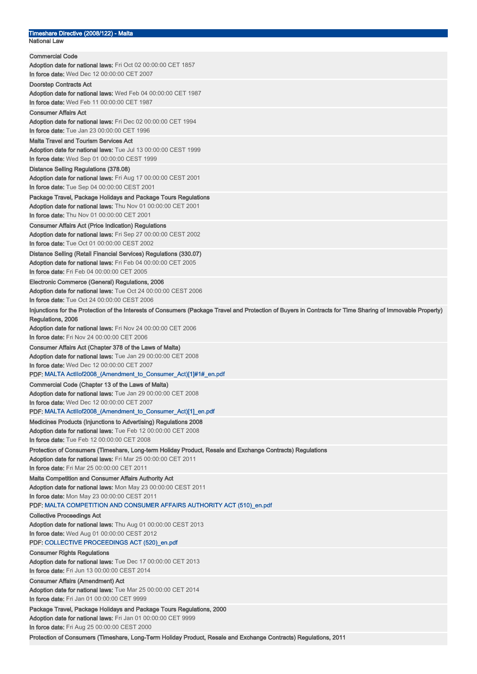#### Timeshare Directive (2008/122) - Malta National Law

| <b>Commercial Code</b>                                                                                                                                     |
|------------------------------------------------------------------------------------------------------------------------------------------------------------|
| Adoption date for national laws: Fri Oct 02 00:00:00 CET 1857                                                                                              |
| In force date: Wed Dec 12 00:00:00 CET 2007                                                                                                                |
| Doorstep Contracts Act                                                                                                                                     |
| Adoption date for national laws: Wed Feb 04 00:00:00 CET 1987                                                                                              |
| In force date: Wed Feb 11 00:00:00 CET 1987                                                                                                                |
| <b>Consumer Affairs Act</b>                                                                                                                                |
| Adoption date for national laws: Fri Dec 02 00:00:00 CET 1994                                                                                              |
| In force date: Tue Jan 23 00:00:00 CET 1996                                                                                                                |
| <b>Malta Travel and Tourism Services Act</b>                                                                                                               |
| Adoption date for national laws: Tue Jul 13 00:00:00 CEST 1999                                                                                             |
| In force date: Wed Sep 01 00:00:00 CEST 1999                                                                                                               |
| Distance Selling Regulations (378.08)                                                                                                                      |
| Adoption date for national laws: Fri Aug 17 00:00:00 CEST 2001                                                                                             |
| In force date: Tue Sep 04 00:00:00 CEST 2001                                                                                                               |
| Package Travel, Package Holidays and Package Tours Regulations                                                                                             |
| Adoption date for national laws: Thu Nov 01 00:00:00 CET 2001                                                                                              |
| In force date: Thu Nov 01 00:00:00 CET 2001                                                                                                                |
| <b>Consumer Affairs Act (Price Indication) Regulations</b>                                                                                                 |
| Adoption date for national laws: Fri Sep 27 00:00:00 CEST 2002                                                                                             |
| In force date: Tue Oct 01 00:00:00 CEST 2002                                                                                                               |
| Distance Selling (Retail Financial Services) Regulations (330.07)                                                                                          |
| Adoption date for national laws: Fri Feb 04 00:00:00 CET 2005                                                                                              |
| In force date: Fri Feb 04 00:00:00 CET 2005                                                                                                                |
| Electronic Commerce (General) Regulations, 2006                                                                                                            |
| Adoption date for national laws: Tue Oct 24 00:00:00 CEST 2006                                                                                             |
| In force date: Tue Oct 24 00:00:00 CEST 2006                                                                                                               |
| Injunctions for the Protection of the Interests of Consumers (Package Travel and Protection of Buyers in Contracts for Time Sharing of Immovable Property) |
| Regulations, 2006                                                                                                                                          |
| Adoption date for national laws: Fri Nov 24 00:00:00 CET 2006                                                                                              |
| In force date: Fri Nov 24 00:00:00 CET 2006                                                                                                                |
| Consumer Affairs Act (Chapter 378 of the Laws of Malta)                                                                                                    |
| Adoption date for national laws: Tue Jan 29 00:00:00 CET 2008                                                                                              |
| In force date: Wed Dec 12 00:00:00 CET 2007                                                                                                                |
| PDF: MALTA                ActIlof2008_(Amendment_to_Consumer_Act)[1]#1#_en.pdf                                                                             |
| Commercial Code (Chapter 13 of the Laws of Malta)                                                                                                          |
| Adoption date for national laws: Tue Jan 29 00:00:00 CET 2008                                                                                              |
| <b>In force date:</b> Wed Dec 12 00:00:00 CET 2007                                                                                                         |
| PDF: MALTA Actllof2008_(Amendment_to_Consumer_Act)[1]_en.pdf                                                                                               |
| Medicines Products (Injunctions to Advertising) Regulations 2008                                                                                           |
| Adoption date for national laws: Tue Feb 12 00:00:00 CET 2008                                                                                              |
| In force date: Tue Feb 12 00:00:00 CET 2008                                                                                                                |
| Protection of Consumers (Timeshare, Long-term Holiday Product, Resale and Exchange Contracts) Regulations                                                  |
| <b>Adoption date for national laws:</b> Fri Mar 25 00:00:00 CET 2011                                                                                       |
| In force date: Fri Mar 25 00:00:00 CET 2011                                                                                                                |
| <b>Malta Competition and Consumer Affairs Authority Act</b>                                                                                                |
| Adoption date for national laws: Mon May 23 00:00:00 CEST 2011                                                                                             |
| In force date: Mon May 23 00:00:00 CEST 2011                                                                                                               |
| PDF: MALTA COMPETITION AND CONSUMER AFFAIRS AUTHORITY ACT (510) en.pdf                                                                                     |
| Collective Proceedings Act                                                                                                                                 |
| Adoption date for national laws: Thu Aug 01 00:00:00 CEST 2013                                                                                             |
| In force date: Wed Aug 01 00:00:00 CEST 2012                                                                                                               |
| PDF: COLLECTIVE PROCEEDINGS ACT (520)_en.pdf                                                                                                               |
| <b>Consumer Rights Regulations</b>                                                                                                                         |
| <b>Adoption date for national laws:</b> Tue Dec 17 00:00:00 CET 2013                                                                                       |
| <b>In force date:</b> Fri Jun 13 00:00:00 CEST 2014                                                                                                        |
| <b>Consumer Affairs (Amendment) Act</b>                                                                                                                    |
| <b>Adoption date for national laws:</b> Tue Mar 25 00:00:00 CET 2014                                                                                       |
| In force date: Fri Jan 01 00:00:00 CET 9999                                                                                                                |
|                                                                                                                                                            |
| Package Travel, Package Holidays and Package Tours Regulations, 2000                                                                                       |
| <b>Adoption date for national laws:</b> Fri Jan 01 00:00:00 CET 9999                                                                                       |
| In force date: Fri Aug 25 00:00:00 CEST 2000                                                                                                               |
| Protection of Consumers (Timeshare, Long-Term Holiday Product, Resale and Exchange Contracts) Regulations, 2011                                            |